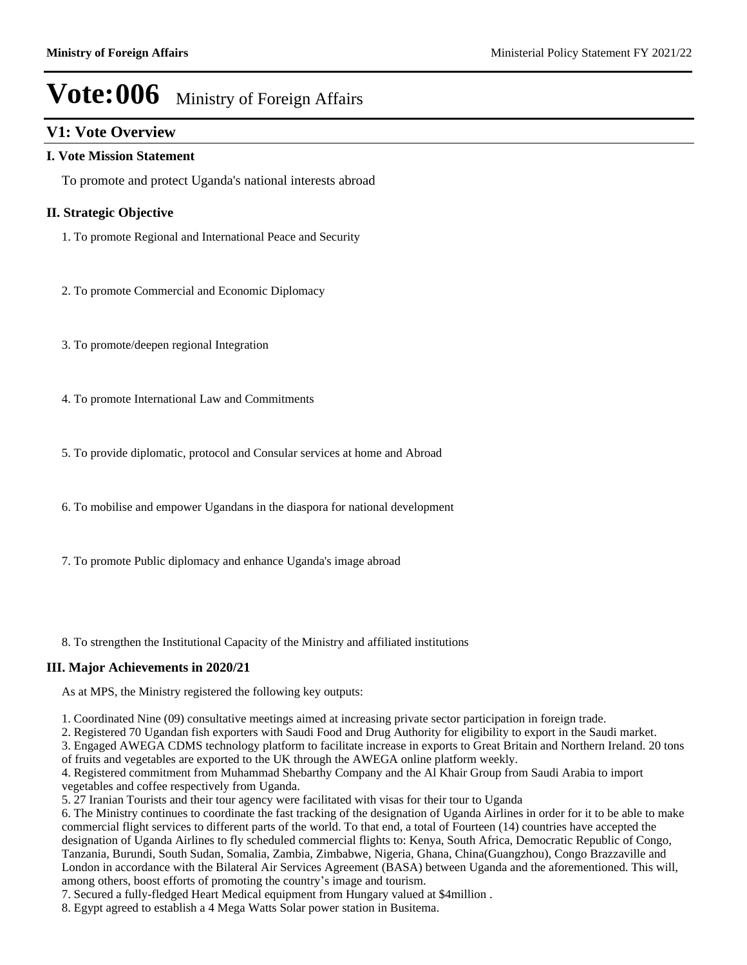### **V1: Vote Overview**

### **I. Vote Mission Statement**

To promote and protect Uganda's national interests abroad

### **II. Strategic Objective**

- 1. To promote Regional and International Peace and Security
- 2. To promote Commercial and Economic Diplomacy
- 3. To promote/deepen regional Integration
- 4. To promote International Law and Commitments
- 5. To provide diplomatic, protocol and Consular services at home and Abroad
- 6. To mobilise and empower Ugandans in the diaspora for national development
- 7. To promote Public diplomacy and enhance Uganda's image abroad
- 8. To strengthen the Institutional Capacity of the Ministry and affiliated institutions

### **III. Major Achievements in 2020/21**

As at MPS, the Ministry registered the following key outputs:

- 1. Coordinated Nine (09) consultative meetings aimed at increasing private sector participation in foreign trade.
- 2. Registered 70 Ugandan fish exporters with Saudi Food and Drug Authority for eligibility to export in the Saudi market.

3. Engaged AWEGA CDMS technology platform to facilitate increase in exports to Great Britain and Northern Ireland. 20 tons of fruits and vegetables are exported to the UK through the AWEGA online platform weekly.

4. Registered commitment from Muhammad Shebarthy Company and the Al Khair Group from Saudi Arabia to import vegetables and coffee respectively from Uganda.

5. 27 Iranian Tourists and their tour agency were facilitated with visas for their tour to Uganda

6. The Ministry continues to coordinate the fast tracking of the designation of Uganda Airlines in order for it to be able to make commercial flight services to different parts of the world. To that end, a total of Fourteen (14) countries have accepted the designation of Uganda Airlines to fly scheduled commercial flights to: Kenya, South Africa, Democratic Republic of Congo, Tanzania, Burundi, South Sudan, Somalia, Zambia, Zimbabwe, Nigeria, Ghana, China(Guangzhou), Congo Brazzaville and London in accordance with the Bilateral Air Services Agreement (BASA) between Uganda and the aforementioned. This will, among others, boost efforts of promoting the country's image and tourism.

7. Secured a fully-fledged Heart Medical equipment from Hungary valued at \$4million .

8. Egypt agreed to establish a 4 Mega Watts Solar power station in Busitema.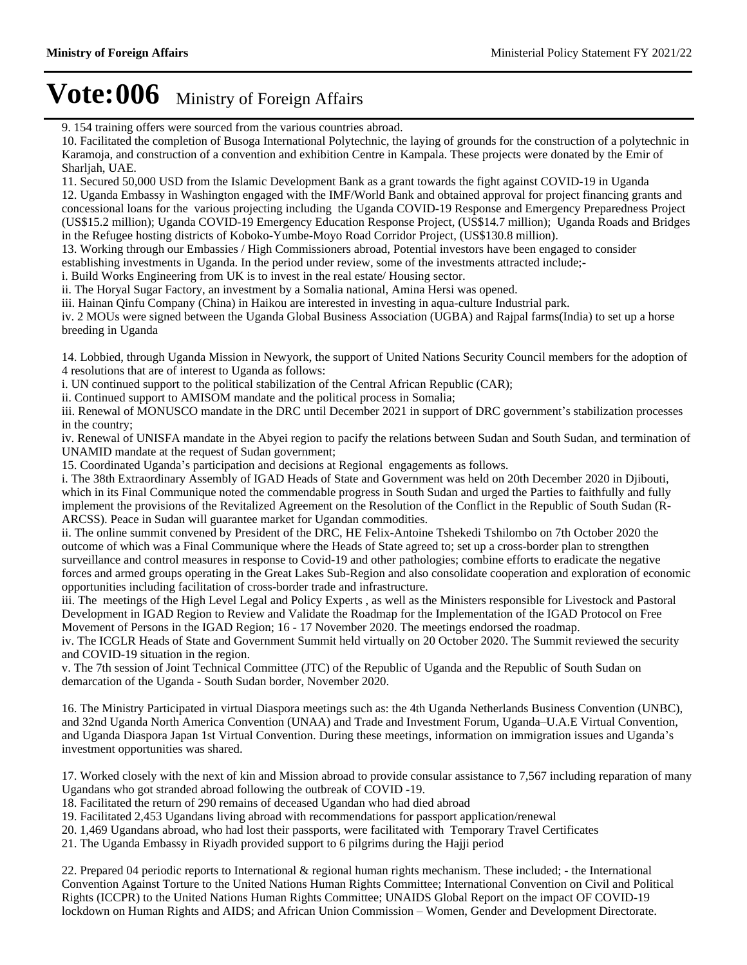9. 154 training offers were sourced from the various countries abroad.

10. Facilitated the completion of Busoga International Polytechnic, the laying of grounds for the construction of a polytechnic in Karamoja, and construction of a convention and exhibition Centre in Kampala. These projects were donated by the Emir of Sharljah, UAE.

11. Secured 50,000 USD from the Islamic Development Bank as a grant towards the fight against COVID-19 in Uganda 12. Uganda Embassy in Washington engaged with the IMF/World Bank and obtained approval for project financing grants and concessional loans for the various projecting including the Uganda COVID-19 Response and Emergency Preparedness Project (US\$15.2 million); Uganda COVID-19 Emergency Education Response Project, (US\$14.7 million); Uganda Roads and Bridges in the Refugee hosting districts of Koboko-Yumbe-Moyo Road Corridor Project, (US\$130.8 million).

13. Working through our Embassies / High Commissioners abroad, Potential investors have been engaged to consider

establishing investments in Uganda. In the period under review, some of the investments attracted include;-

i. Build Works Engineering from UK is to invest in the real estate/ Housing sector.

ii. The Horyal Sugar Factory, an investment by a Somalia national, Amina Hersi was opened.

iii. Hainan Qinfu Company (China) in Haikou are interested in investing in aqua-culture Industrial park.

iv. 2 MOUs were signed between the Uganda Global Business Association (UGBA) and Rajpal farms(India) to set up a horse breeding in Uganda

14. Lobbied, through Uganda Mission in Newyork, the support of United Nations Security Council members for the adoption of 4 resolutions that are of interest to Uganda as follows:

i. UN continued support to the political stabilization of the Central African Republic (CAR);

ii. Continued support to AMISOM mandate and the political process in Somalia;

iii. Renewal of MONUSCO mandate in the DRC until December 2021 in support of DRC government's stabilization processes in the country;

iv. Renewal of UNISFA mandate in the Abyei region to pacify the relations between Sudan and South Sudan, and termination of UNAMID mandate at the request of Sudan government;

15. Coordinated Uganda's participation and decisions at Regional engagements as follows.

i. The 38th Extraordinary Assembly of IGAD Heads of State and Government was held on 20th December 2020 in Djibouti, which in its Final Communique noted the commendable progress in South Sudan and urged the Parties to faithfully and fully implement the provisions of the Revitalized Agreement on the Resolution of the Conflict in the Republic of South Sudan (R-ARCSS). Peace in Sudan will guarantee market for Ugandan commodities.

ii. The online summit convened by President of the DRC, HE Felix-Antoine Tshekedi Tshilombo on 7th October 2020 the outcome of which was a Final Communique where the Heads of State agreed to; set up a cross-border plan to strengthen surveillance and control measures in response to Covid-19 and other pathologies; combine efforts to eradicate the negative forces and armed groups operating in the Great Lakes Sub-Region and also consolidate cooperation and exploration of economic opportunities including facilitation of cross-border trade and infrastructure.

iii. The meetings of the High Level Legal and Policy Experts , as well as the Ministers responsible for Livestock and Pastoral Development in IGAD Region to Review and Validate the Roadmap for the Implementation of the IGAD Protocol on Free Movement of Persons in the IGAD Region; 16 - 17 November 2020. The meetings endorsed the roadmap.

iv. The ICGLR Heads of State and Government Summit held virtually on 20 October 2020. The Summit reviewed the security and COVID-19 situation in the region.

v. The 7th session of Joint Technical Committee (JTC) of the Republic of Uganda and the Republic of South Sudan on demarcation of the Uganda - South Sudan border, November 2020.

16. The Ministry Participated in virtual Diaspora meetings such as: the 4th Uganda Netherlands Business Convention (UNBC), and 32nd Uganda North America Convention (UNAA) and Trade and Investment Forum, Uganda-U.A.E Virtual Convention, and Uganda Diaspora Japan 1st Virtual Convention. During these meetings, information on immigration issues and Uganda's investment opportunities was shared.

17. Worked closely with the next of kin and Mission abroad to provide consular assistance to 7,567 including reparation of many Ugandans who got stranded abroad following the outbreak of COVID -19.

18. Facilitated the return of 290 remains of deceased Ugandan who had died abroad

19. Facilitated 2,453 Ugandans living abroad with recommendations for passport application/renewal

20. 1,469 Ugandans abroad, who had lost their passports, were facilitated with Temporary Travel Certificates

21. The Uganda Embassy in Riyadh provided support to 6 pilgrims during the Hajji period

22. Prepared 04 periodic reports to International & regional human rights mechanism. These included; - the International Convention Against Torture to the United Nations Human Rights Committee; International Convention on Civil and Political Rights (ICCPR) to the United Nations Human Rights Committee; UNAIDS Global Report on the impact OF COVID-19 lockdown on Human Rights and AIDS; and African Union Commission - Women, Gender and Development Directorate.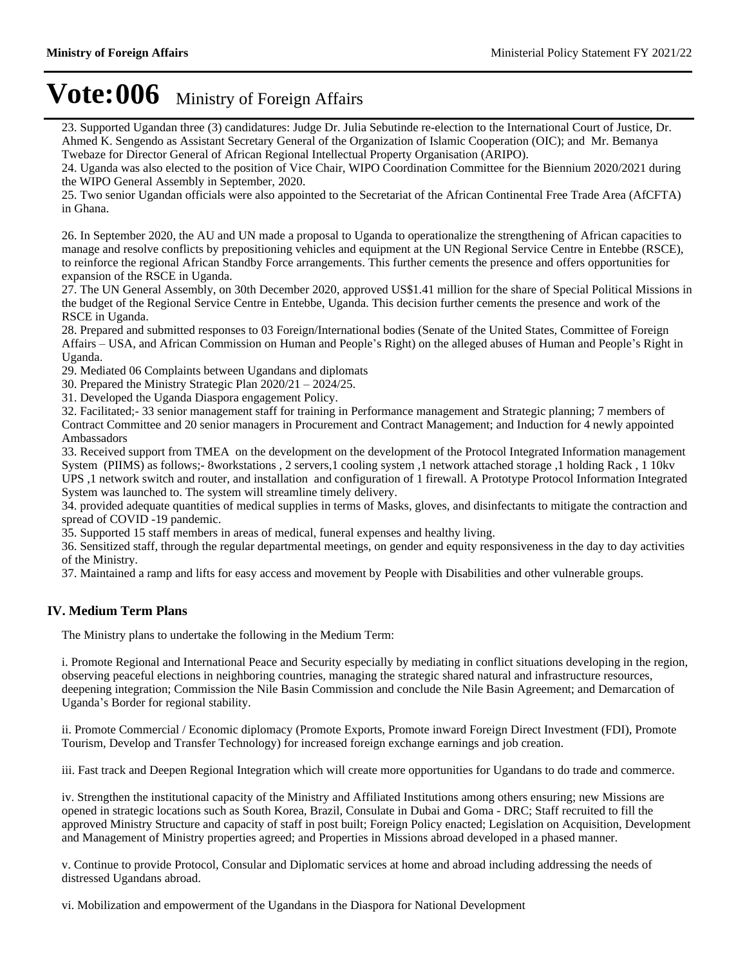23. Supported Ugandan three (3) candidatures: Judge Dr. Julia Sebutinde re-election to the International Court of Justice, Dr. Ahmed K. Sengendo as Assistant Secretary General of the Organization of Islamic Cooperation (OIC); and Mr. Bemanya Twebaze for Director General of African Regional Intellectual Property Organisation (ARIPO).

24. Uganda was also elected to the position of Vice Chair, WIPO Coordination Committee for the Biennium 2020/2021 during the WIPO General Assembly in September, 2020.

25. Two senior Ugandan officials were also appointed to the Secretariat of the African Continental Free Trade Area (AfCFTA) in Ghana.

26. In September 2020, the AU and UN made a proposal to Uganda to operationalize the strengthening of African capacities to manage and resolve conflicts by prepositioning vehicles and equipment at the UN Regional Service Centre in Entebbe (RSCE), to reinforce the regional African Standby Force arrangements. This further cements the presence and offers opportunities for expansion of the RSCE in Uganda.

27. The UN General Assembly, on 30th December 2020, approved US\$1.41 million for the share of Special Political Missions in the budget of the Regional Service Centre in Entebbe, Uganda. This decision further cements the presence and work of the RSCE in Uganda.

28. Prepared and submitted responses to 03 Foreign/International bodies (Senate of the United States, Committee of Foreign Affairs – USA, and African Commission on Human and People's Right) on the alleged abuses of Human and People's Right in Uganda.

29. Mediated 06 Complaints between Ugandans and diplomats

30. Prepared the Ministry Strategic Plan  $2020/21 - 2024/25$ .

31. Developed the Uganda Diaspora engagement Policy.

32. Facilitated;- 33 senior management staff for training in Performance management and Strategic planning; 7 members of Contract Committee and 20 senior managers in Procurement and Contract Management; and Induction for 4 newly appointed Ambassadors

33. Received support from TMEA on the development on the development of the Protocol Integrated Information management System (PIIMS) as follows;- 8workstations , 2 servers,1 cooling system ,1 network attached storage ,1 holding Rack , 1 10kv UPS ,1 network switch and router, and installation and configuration of 1 firewall. A Prototype Protocol Information Integrated

System was launched to. The system will streamline timely delivery.

34. provided adequate quantities of medical supplies in terms of Masks, gloves, and disinfectants to mitigate the contraction and spread of COVID -19 pandemic.

35. Supported 15 staff members in areas of medical, funeral expenses and healthy living.

36. Sensitized staff, through the regular departmental meetings, on gender and equity responsiveness in the day to day activities of the Ministry.

37. Maintained a ramp and lifts for easy access and movement by People with Disabilities and other vulnerable groups.

### **IV. Medium Term Plans**

The Ministry plans to undertake the following in the Medium Term:

i. Promote Regional and International Peace and Security especially by mediating in conflict situations developing in the region, observing peaceful elections in neighboring countries, managing the strategic shared natural and infrastructure resources, deepening integration; Commission the Nile Basin Commission and conclude the Nile Basin Agreement; and Demarcation of Uganda's Border for regional stability.

ii. Promote Commercial / Economic diplomacy (Promote Exports, Promote inward Foreign Direct Investment (FDI), Promote Tourism, Develop and Transfer Technology) for increased foreign exchange earnings and job creation.

iii. Fast track and Deepen Regional Integration which will create more opportunities for Ugandans to do trade and commerce.

iv. Strengthen the institutional capacity of the Ministry and Affiliated Institutions among others ensuring; new Missions are opened in strategic locations such as South Korea, Brazil, Consulate in Dubai and Goma - DRC; Staff recruited to fill the approved Ministry Structure and capacity of staff in post built; Foreign Policy enacted; Legislation on Acquisition, Development and Management of Ministry properties agreed; and Properties in Missions abroad developed in a phased manner.

v. Continue to provide Protocol, Consular and Diplomatic services at home and abroad including addressing the needs of distressed Ugandans abroad.

vi. Mobilization and empowerment of the Ugandans in the Diaspora for National Development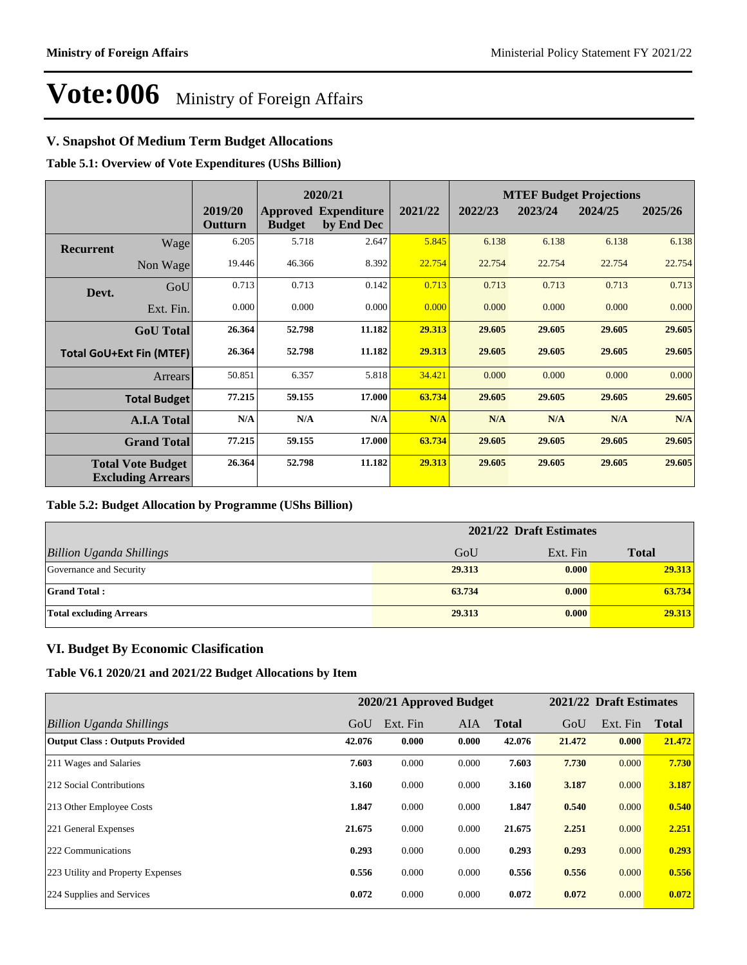### **V. Snapshot Of Medium Term Budget Allocations**

**Table 5.1: Overview of Vote Expenditures (UShs Billion)**

|                  |                                                      |                    |               | 2020/21                                   |         |         |         | <b>MTEF Budget Projections</b> |         |  |
|------------------|------------------------------------------------------|--------------------|---------------|-------------------------------------------|---------|---------|---------|--------------------------------|---------|--|
|                  |                                                      | 2019/20<br>Outturn | <b>Budget</b> | <b>Approved Expenditure</b><br>by End Dec | 2021/22 | 2022/23 | 2023/24 | 2024/25                        | 2025/26 |  |
| <b>Recurrent</b> | Wage                                                 | 6.205              | 5.718         | 2.647                                     | 5.845   | 6.138   | 6.138   | 6.138                          | 6.138   |  |
|                  | Non Wage                                             | 19.446             | 46.366        | 8.392                                     | 22.754  | 22.754  | 22.754  | 22.754                         | 22.754  |  |
| Devt.            | GoU                                                  | 0.713              | 0.713         | 0.142                                     | 0.713   | 0.713   | 0.713   | 0.713                          | 0.713   |  |
|                  | Ext. Fin.                                            | 0.000              | 0.000         | 0.000                                     | 0.000   | 0.000   | 0.000   | 0.000                          | 0.000   |  |
|                  | <b>GoU</b> Total                                     | 26.364             | 52.798        | 11.182                                    | 29.313  | 29.605  | 29.605  | 29.605                         | 29.605  |  |
|                  | <b>Total GoU+Ext Fin (MTEF)</b>                      | 26.364             | 52.798        | 11.182                                    | 29.313  | 29.605  | 29.605  | 29.605                         | 29.605  |  |
|                  | <b>Arrears</b>                                       | 50.851             | 6.357         | 5.818                                     | 34.421  | 0.000   | 0.000   | 0.000                          | 0.000   |  |
|                  | <b>Total Budget</b>                                  | 77.215             | 59.155        | 17.000                                    | 63.734  | 29.605  | 29.605  | 29.605                         | 29.605  |  |
|                  | <b>A.I.A Total</b>                                   | N/A                | N/A           | N/A                                       | N/A     | N/A     | N/A     | N/A                            | N/A     |  |
|                  | <b>Grand Total</b>                                   | 77.215             | 59.155        | 17.000                                    | 63.734  | 29.605  | 29.605  | 29.605                         | 29.605  |  |
|                  | <b>Total Vote Budget</b><br><b>Excluding Arrears</b> | 26.364             | 52.798        | 11.182                                    | 29.313  | 29.605  | 29.605  | 29.605                         | 29.605  |  |

### **Table 5.2: Budget Allocation by Programme (UShs Billion)**

|                                 | 2021/22 Draft Estimates |          |              |  |  |
|---------------------------------|-------------------------|----------|--------------|--|--|
| <b>Billion Uganda Shillings</b> | GoU                     | Ext. Fin | <b>Total</b> |  |  |
| Governance and Security         | 29.313                  | 0.000    | 29.313       |  |  |
| <b>Grand Total:</b>             | 63.734                  | 0.000    | 63.734       |  |  |
| <b>Total excluding Arrears</b>  | 29.313                  | 0.000    | 29.313       |  |  |

### **VI. Budget By Economic Clasification**

**Table V6.1 2020/21 and 2021/22 Budget Allocations by Item**

|                                       |        | 2020/21 Approved Budget |            |              |        | 2021/22 Draft Estimates |              |
|---------------------------------------|--------|-------------------------|------------|--------------|--------|-------------------------|--------------|
| Billion Uganda Shillings              | GoU    | Ext. Fin                | <b>AIA</b> | <b>Total</b> | GoU    | Ext. Fin                | <b>Total</b> |
| <b>Output Class: Outputs Provided</b> | 42.076 | 0.000                   | 0.000      | 42.076       | 21.472 | 0.000                   | 21.472       |
| 211 Wages and Salaries                | 7.603  | 0.000                   | 0.000      | 7.603        | 7.730  | 0.000                   | 7.730        |
| 212 Social Contributions              | 3.160  | 0.000                   | 0.000      | 3.160        | 3.187  | 0.000                   | 3.187        |
| 213 Other Employee Costs              | 1.847  | 0.000                   | 0.000      | 1.847        | 0.540  | 0.000                   | 0.540        |
| 221 General Expenses                  | 21.675 | 0.000                   | 0.000      | 21.675       | 2.251  | 0.000                   | 2.251        |
| 222 Communications                    | 0.293  | 0.000                   | 0.000      | 0.293        | 0.293  | 0.000                   | 0.293        |
| 223 Utility and Property Expenses     | 0.556  | 0.000                   | 0.000      | 0.556        | 0.556  | 0.000                   | 0.556        |
| 224 Supplies and Services             | 0.072  | 0.000                   | 0.000      | 0.072        | 0.072  | 0.000                   | 0.072        |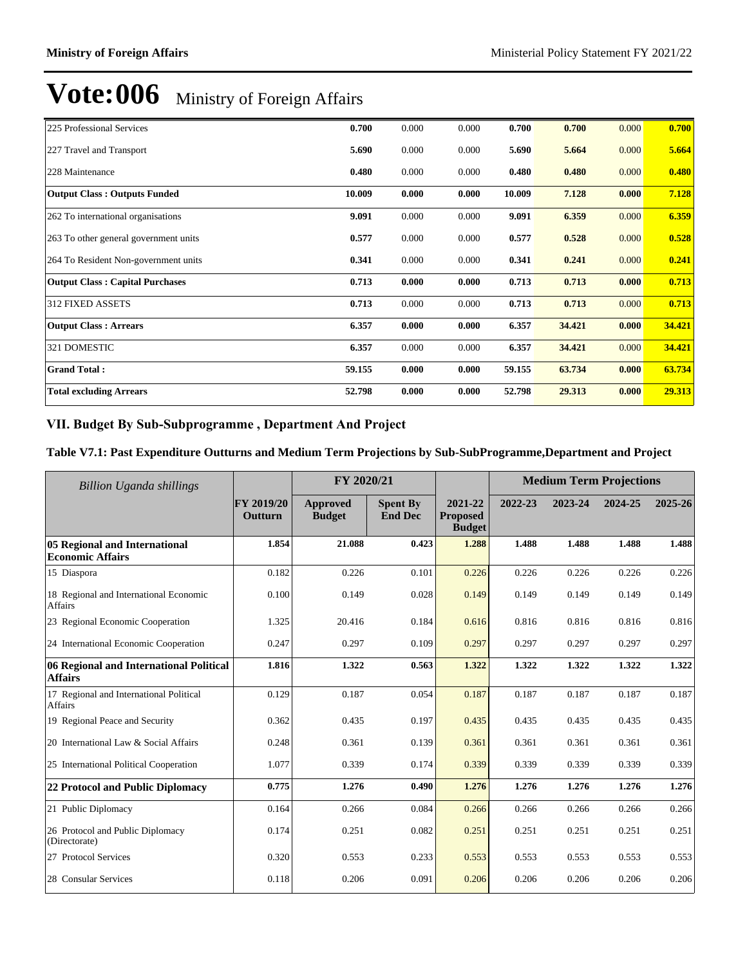| 225 Professional Services              | 0.700  | 0.000 | 0.000 | 0.700  | 0.700  | 0.000 | 0.700  |
|----------------------------------------|--------|-------|-------|--------|--------|-------|--------|
| 227 Travel and Transport               | 5.690  | 0.000 | 0.000 | 5.690  | 5.664  | 0.000 | 5.664  |
| 228 Maintenance                        | 0.480  | 0.000 | 0.000 | 0.480  | 0.480  | 0.000 | 0.480  |
| <b>Output Class: Outputs Funded</b>    | 10.009 | 0.000 | 0.000 | 10.009 | 7.128  | 0.000 | 7.128  |
| 262 To international organisations     | 9.091  | 0.000 | 0.000 | 9.091  | 6.359  | 0.000 | 6.359  |
| 263 To other general government units  | 0.577  | 0.000 | 0.000 | 0.577  | 0.528  | 0.000 | 0.528  |
| 264 To Resident Non-government units   | 0.341  | 0.000 | 0.000 | 0.341  | 0.241  | 0.000 | 0.241  |
| <b>Output Class: Capital Purchases</b> | 0.713  | 0.000 | 0.000 | 0.713  | 0.713  | 0.000 | 0.713  |
| <b>312 FIXED ASSETS</b>                | 0.713  | 0.000 | 0.000 | 0.713  | 0.713  | 0.000 | 0.713  |
| <b>Output Class: Arrears</b>           | 6.357  | 0.000 | 0.000 | 6.357  | 34.421 | 0.000 | 34.421 |
| 321 DOMESTIC                           | 6.357  | 0.000 | 0.000 | 6.357  | 34.421 | 0.000 | 34.421 |
| <b>Grand Total:</b>                    | 59.155 | 0.000 | 0.000 | 59.155 | 63.734 | 0.000 | 63.734 |
| <b>Total excluding Arrears</b>         | 52.798 | 0.000 | 0.000 | 52.798 | 29.313 | 0.000 | 29.313 |

### VII. Budget By Sub-Subprogramme, Department And Project

### **Table V7.1: Past Expenditure Outturns and Medium Term Projections by Sub-SubProgramme,Department and Project**

| Billion Uganda shillings                                  | FY 2020/21            |                           |                                   | <b>Medium Term Projections</b>              |         |         |         |         |
|-----------------------------------------------------------|-----------------------|---------------------------|-----------------------------------|---------------------------------------------|---------|---------|---------|---------|
|                                                           | FY 2019/20<br>Outturn | Approved<br><b>Budget</b> | <b>Spent By</b><br><b>End Dec</b> | 2021-22<br><b>Proposed</b><br><b>Budget</b> | 2022-23 | 2023-24 | 2024-25 | 2025-26 |
| 05 Regional and International<br><b>Economic Affairs</b>  | 1.854                 | 21.088                    | 0.423                             | 1.288                                       | 1.488   | 1.488   | 1.488   | 1.488   |
| 15 Diaspora                                               | 0.182                 | 0.226                     | 0.101                             | 0.226                                       | 0.226   | 0.226   | 0.226   | 0.226   |
| 18 Regional and International Economic<br>Affairs         | 0.100                 | 0.149                     | 0.028                             | 0.149                                       | 0.149   | 0.149   | 0.149   | 0.149   |
| 23 Regional Economic Cooperation                          | 1.325                 | 20.416                    | 0.184                             | 0.616                                       | 0.816   | 0.816   | 0.816   | 0.816   |
| 24 International Economic Cooperation                     | 0.247                 | 0.297                     | 0.109                             | 0.297                                       | 0.297   | 0.297   | 0.297   | 0.297   |
| 06 Regional and International Political<br><b>Affairs</b> | 1.816                 | 1.322                     | 0.563                             | 1.322                                       | 1.322   | 1.322   | 1.322   | 1.322   |
| 17 Regional and International Political<br><b>Affairs</b> | 0.129                 | 0.187                     | 0.054                             | 0.187                                       | 0.187   | 0.187   | 0.187   | 0.187   |
| 19 Regional Peace and Security                            | 0.362                 | 0.435                     | 0.197                             | 0.435                                       | 0.435   | 0.435   | 0.435   | 0.435   |
| 20 International Law & Social Affairs                     | 0.248                 | 0.361                     | 0.139                             | 0.361                                       | 0.361   | 0.361   | 0.361   | 0.361   |
| 25 International Political Cooperation                    | 1.077                 | 0.339                     | 0.174                             | 0.339                                       | 0.339   | 0.339   | 0.339   | 0.339   |
| 22 Protocol and Public Diplomacy                          | 0.775                 | 1.276                     | 0.490                             | 1.276                                       | 1.276   | 1.276   | 1.276   | 1.276   |
| 21 Public Diplomacy                                       | 0.164                 | 0.266                     | 0.084                             | 0.266                                       | 0.266   | 0.266   | 0.266   | 0.266   |
| 26 Protocol and Public Diplomacy<br>(Directorate)         | 0.174                 | 0.251                     | 0.082                             | 0.251                                       | 0.251   | 0.251   | 0.251   | 0.251   |
| 27 Protocol Services                                      | 0.320                 | 0.553                     | 0.233                             | 0.553                                       | 0.553   | 0.553   | 0.553   | 0.553   |
| 28 Consular Services                                      | 0.118                 | 0.206                     | 0.091                             | 0.206                                       | 0.206   | 0.206   | 0.206   | 0.206   |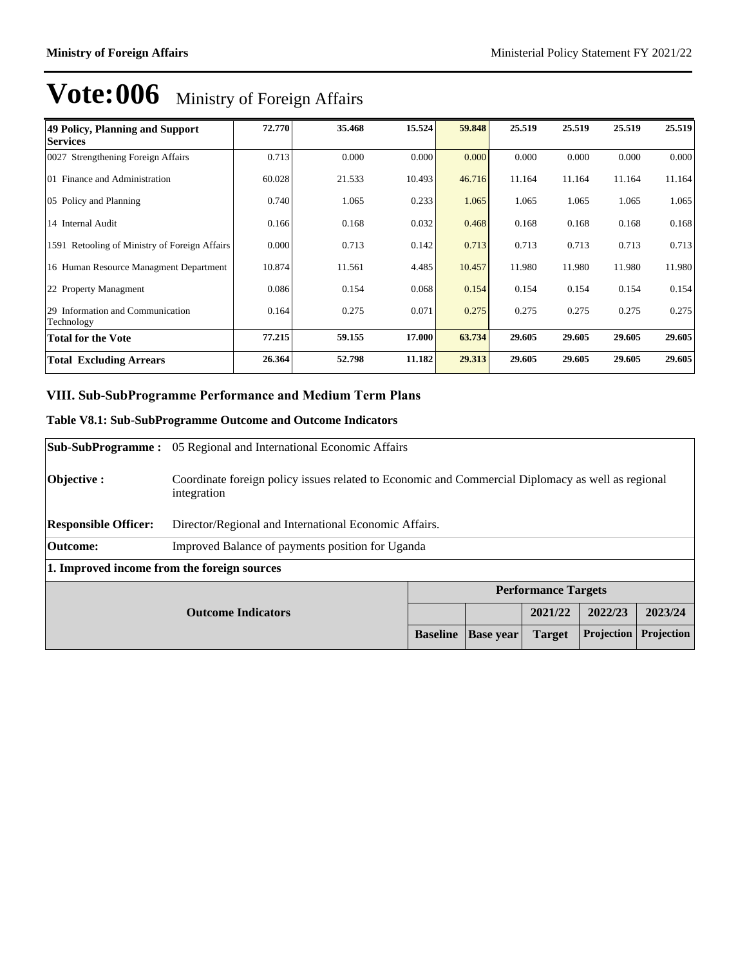| 49 Policy, Planning and Support<br><b>Services</b> | 72.770 | 35.468 | 15.524 | 59.848 | 25.519 | 25.519 | 25.519 | 25.519 |
|----------------------------------------------------|--------|--------|--------|--------|--------|--------|--------|--------|
| 0027 Strengthening Foreign Affairs                 | 0.713  | 0.000  | 0.000  | 0.000  | 0.000  | 0.000  | 0.000  | 0.000  |
| 01 Finance and Administration                      | 60.028 | 21.533 | 10.493 | 46.716 | 11.164 | 11.164 | 11.164 | 11.164 |
| 05 Policy and Planning                             | 0.740  | 1.065  | 0.233  | 1.065  | 1.065  | 1.065  | 1.065  | 1.065  |
| 14 Internal Audit                                  | 0.166  | 0.168  | 0.032  | 0.468  | 0.168  | 0.168  | 0.168  | 0.168  |
| 1591 Retooling of Ministry of Foreign Affairs      | 0.000  | 0.713  | 0.142  | 0.713  | 0.713  | 0.713  | 0.713  | 0.713  |
| 16 Human Resource Managment Department             | 10.874 | 11.561 | 4.485  | 10.457 | 11.980 | 11.980 | 11.980 | 11.980 |
| 22 Property Managment                              | 0.086  | 0.154  | 0.068  | 0.154  | 0.154  | 0.154  | 0.154  | 0.154  |
| 29 Information and Communication<br>Technology     | 0.164  | 0.275  | 0.071  | 0.275  | 0.275  | 0.275  | 0.275  | 0.275  |
| <b>Total for the Vote</b>                          | 77.215 | 59.155 | 17.000 | 63.734 | 29.605 | 29.605 | 29.605 | 29.605 |
| <b>Total Excluding Arrears</b>                     | 26.364 | 52.798 | 11.182 | 29.313 | 29.605 | 29.605 | 29.605 | 29.605 |

### **VIII. Sub-SubProgramme Performance and Medium Term Plans**

### **Table V8.1: Sub-SubProgramme Outcome and Outcome Indicators**

|                                             | <b>Sub-SubProgramme:</b> 05 Regional and International Economic Affairs                                          |                 |                  |                            |            |            |
|---------------------------------------------|------------------------------------------------------------------------------------------------------------------|-----------------|------------------|----------------------------|------------|------------|
| Objective :                                 | Coordinate foreign policy issues related to Economic and Commercial Diplomacy as well as regional<br>integration |                 |                  |                            |            |            |
| <b>Responsible Officer:</b>                 | Director/Regional and International Economic Affairs.                                                            |                 |                  |                            |            |            |
| <b>Outcome:</b>                             | Improved Balance of payments position for Uganda                                                                 |                 |                  |                            |            |            |
| 1. Improved income from the foreign sources |                                                                                                                  |                 |                  |                            |            |            |
|                                             |                                                                                                                  |                 |                  | <b>Performance Targets</b> |            |            |
| <b>Outcome Indicators</b>                   |                                                                                                                  |                 |                  | 2021/22                    | 2022/23    | 2023/24    |
|                                             |                                                                                                                  | <b>Baseline</b> | <b>Base year</b> | <b>Target</b>              | Projection | Projection |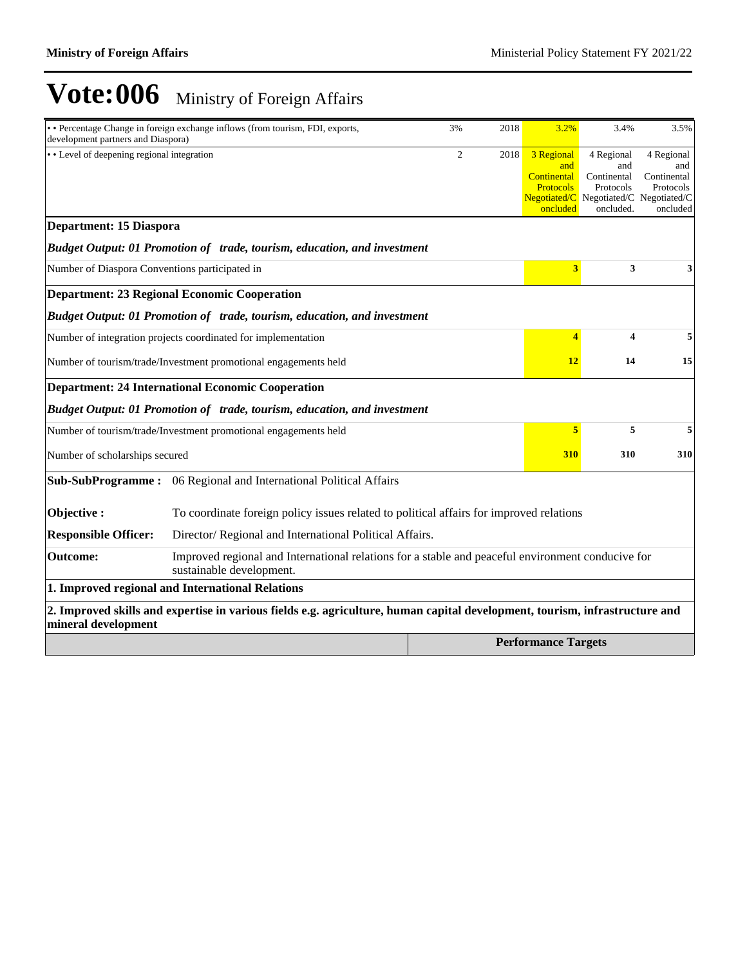| development partners and Diaspora)                              | • Percentage Change in foreign exchange inflows (from tourism, FDI, exports,                                                  | 3%             | 2018 | 3.2%                                                 | 3.4%                                          | 3.5%                                                 |
|-----------------------------------------------------------------|-------------------------------------------------------------------------------------------------------------------------------|----------------|------|------------------------------------------------------|-----------------------------------------------|------------------------------------------------------|
| • Level of deepening regional integration                       |                                                                                                                               | $\overline{2}$ | 2018 | 3 Regional<br>and<br>Continental<br><b>Protocols</b> | 4 Regional<br>and<br>Continental<br>Protocols | 4 Regional<br>and<br>Continental<br>Protocols        |
|                                                                 |                                                                                                                               |                |      | oncluded                                             | oncluded.                                     | $Negotiated/C$ Negotiated/C Negotiated/C<br>oncluded |
| <b>Department: 15 Diaspora</b>                                  |                                                                                                                               |                |      |                                                      |                                               |                                                      |
|                                                                 | Budget Output: 01 Promotion of trade, tourism, education, and investment                                                      |                |      |                                                      |                                               |                                                      |
| Number of Diaspora Conventions participated in                  |                                                                                                                               |                |      | $\overline{\mathbf{3}}$                              | 3                                             | 3                                                    |
|                                                                 | <b>Department: 23 Regional Economic Cooperation</b>                                                                           |                |      |                                                      |                                               |                                                      |
|                                                                 | Budget Output: 01 Promotion of trade, tourism, education, and investment                                                      |                |      |                                                      |                                               |                                                      |
|                                                                 | Number of integration projects coordinated for implementation                                                                 |                |      | 4                                                    | 4                                             | 5                                                    |
| Number of tourism/trade/Investment promotional engagements held |                                                                                                                               |                |      |                                                      | 14                                            | 15                                                   |
|                                                                 | <b>Department: 24 International Economic Cooperation</b>                                                                      |                |      |                                                      |                                               |                                                      |
|                                                                 | Budget Output: 01 Promotion of trade, tourism, education, and investment                                                      |                |      |                                                      |                                               |                                                      |
|                                                                 | Number of tourism/trade/Investment promotional engagements held                                                               |                |      | 5                                                    | 5                                             | 5                                                    |
| Number of scholarships secured                                  |                                                                                                                               |                |      | 310                                                  | 310                                           | 310                                                  |
| <b>Sub-SubProgramme:</b>                                        | 06 Regional and International Political Affairs                                                                               |                |      |                                                      |                                               |                                                      |
| Objective:                                                      | To coordinate foreign policy issues related to political affairs for improved relations                                       |                |      |                                                      |                                               |                                                      |
| <b>Responsible Officer:</b>                                     | Director/ Regional and International Political Affairs.                                                                       |                |      |                                                      |                                               |                                                      |
| Outcome:                                                        | Improved regional and International relations for a stable and peaceful environment conducive for<br>sustainable development. |                |      |                                                      |                                               |                                                      |
|                                                                 | 1. Improved regional and International Relations                                                                              |                |      |                                                      |                                               |                                                      |
| mineral development                                             | 2. Improved skills and expertise in various fields e.g. agriculture, human capital development, tourism, infrastructure and   |                |      |                                                      |                                               |                                                      |
|                                                                 |                                                                                                                               |                |      | <b>Performance Targets</b>                           |                                               |                                                      |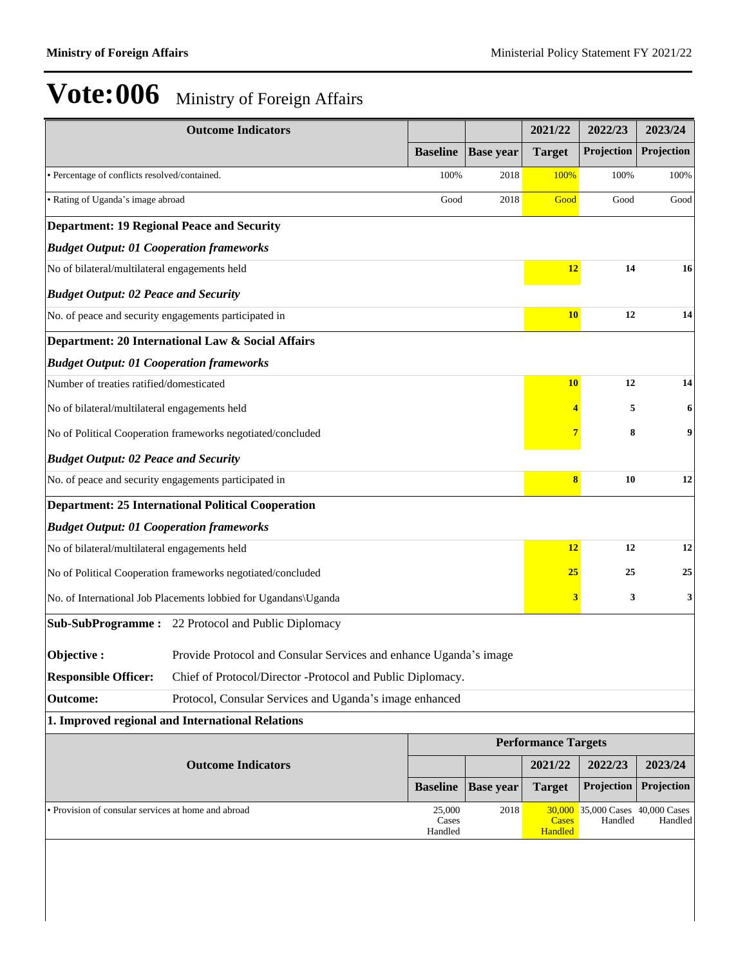|                                                       | <b>Outcome Indicators</b>                                         |                                             |                  | 2021/22                    | 2022/23    | 2023/24    |  |
|-------------------------------------------------------|-------------------------------------------------------------------|---------------------------------------------|------------------|----------------------------|------------|------------|--|
|                                                       |                                                                   | <b>Baseline</b>                             | <b>Base year</b> | <b>Target</b>              | Projection | Projection |  |
| · Percentage of conflicts resolved/contained.         |                                                                   | 100%                                        | 2018             | 100%                       | 100%       | 100%       |  |
| • Rating of Uganda's image abroad                     |                                                                   | Good                                        | 2018             | Good                       | Good       | Good       |  |
| <b>Department: 19 Regional Peace and Security</b>     |                                                                   |                                             |                  |                            |            |            |  |
|                                                       | <b>Budget Output: 01 Cooperation frameworks</b>                   |                                             |                  |                            |            |            |  |
| No of bilateral/multilateral engagements held         |                                                                   |                                             |                  | 12                         | 14         | 16         |  |
| <b>Budget Output: 02 Peace and Security</b>           |                                                                   |                                             |                  |                            |            |            |  |
| No. of peace and security engagements participated in |                                                                   |                                             |                  | <b>10</b>                  | 12         | 14         |  |
|                                                       | Department: 20 International Law & Social Affairs                 |                                             |                  |                            |            |            |  |
| <b>Budget Output: 01 Cooperation frameworks</b>       |                                                                   |                                             |                  |                            |            |            |  |
| Number of treaties ratified/domesticated              |                                                                   |                                             |                  | <b>10</b>                  | 12         | 14         |  |
| No of bilateral/multilateral engagements held         |                                                                   |                                             |                  |                            | 5          | 6          |  |
|                                                       | No of Political Cooperation frameworks negotiated/concluded       |                                             |                  |                            | 8          | 9          |  |
| <b>Budget Output: 02 Peace and Security</b>           |                                                                   |                                             |                  |                            |            |            |  |
| No. of peace and security engagements participated in |                                                                   |                                             |                  | $\bf{8}$                   | 10         | 12         |  |
|                                                       | <b>Department: 25 International Political Cooperation</b>         |                                             |                  |                            |            |            |  |
| <b>Budget Output: 01 Cooperation frameworks</b>       |                                                                   |                                             |                  |                            |            |            |  |
| No of bilateral/multilateral engagements held         |                                                                   |                                             |                  | 12                         | 12         | 12         |  |
|                                                       | No of Political Cooperation frameworks negotiated/concluded       |                                             |                  | <b>25</b>                  | 25         | 25         |  |
|                                                       | No. of International Job Placements lobbied for Ugandans\Uganda   |                                             |                  | 3                          | 3          | 3          |  |
|                                                       | <b>Sub-SubProgramme:</b> 22 Protocol and Public Diplomacy         |                                             |                  |                            |            |            |  |
| Objective:                                            | Provide Protocol and Consular Services and enhance Uganda's image |                                             |                  |                            |            |            |  |
| <b>Responsible Officer:</b>                           | Chief of Protocol/Director -Protocol and Public Diplomacy.        |                                             |                  |                            |            |            |  |
| <b>Outcome:</b>                                       | Protocol, Consular Services and Uganda's image enhanced           |                                             |                  |                            |            |            |  |
|                                                       | 1. Improved regional and International Relations                  |                                             |                  |                            |            |            |  |
|                                                       |                                                                   |                                             |                  | <b>Performance Targets</b> |            |            |  |
|                                                       | <b>Outcome Indicators</b>                                         |                                             |                  | 2021/22                    | 2022/23    | 2023/24    |  |
|                                                       |                                                                   | <b>Baseline</b>                             | <b>Base year</b> | <b>Target</b>              | Projection | Projection |  |
| • Provision of consular services at home and abroad   | <b>Cases</b><br>Handled                                           | 30,000 35,000 Cases 40,000 Cases<br>Handled | Handled          |                            |            |            |  |
|                                                       |                                                                   |                                             |                  |                            |            |            |  |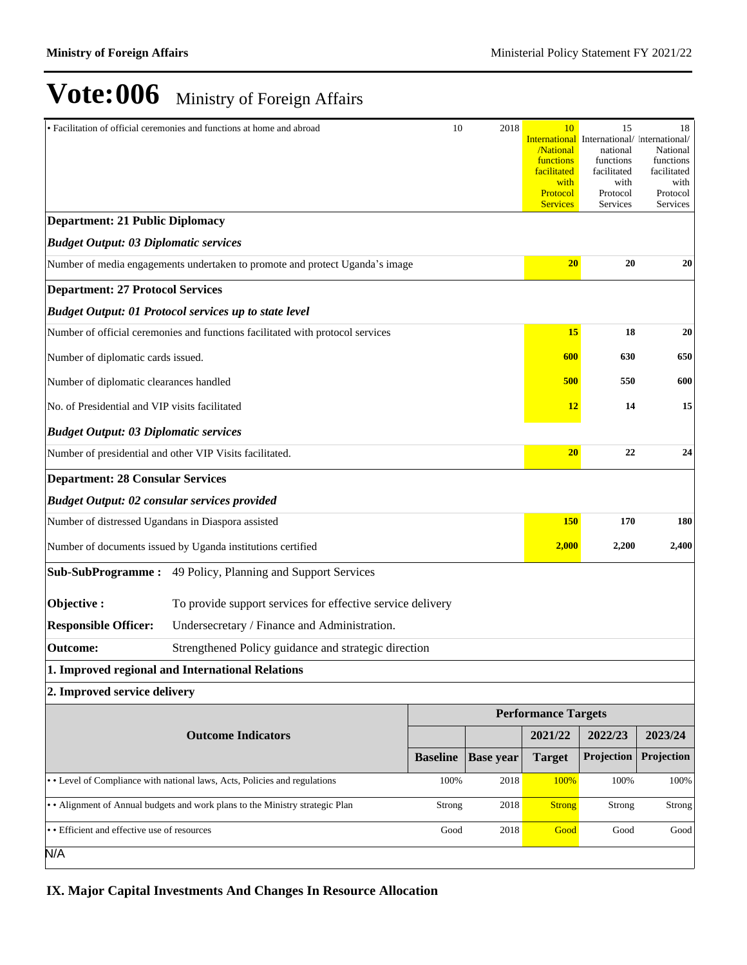|                                                                                | • Facilitation of official ceremonies and functions at home and abroad       | 10              | 2018             | 10<br>/National<br>functions<br>facilitated<br>with<br>Protocol<br><b>Services</b> | 15<br><b>International</b> International/ International/<br>national<br>functions<br>facilitated<br>with<br>Protocol<br>Services | 18<br>National<br>functions<br>facilitated<br>with<br>Protocol<br>Services |
|--------------------------------------------------------------------------------|------------------------------------------------------------------------------|-----------------|------------------|------------------------------------------------------------------------------------|----------------------------------------------------------------------------------------------------------------------------------|----------------------------------------------------------------------------|
| <b>Department: 21 Public Diplomacy</b>                                         |                                                                              |                 |                  |                                                                                    |                                                                                                                                  |                                                                            |
| <b>Budget Output: 03 Diplomatic services</b>                                   |                                                                              |                 |                  |                                                                                    |                                                                                                                                  |                                                                            |
|                                                                                | Number of media engagements undertaken to promote and protect Uganda's image |                 |                  | 20                                                                                 | 20                                                                                                                               | 20                                                                         |
| <b>Department: 27 Protocol Services</b>                                        |                                                                              |                 |                  |                                                                                    |                                                                                                                                  |                                                                            |
|                                                                                | <b>Budget Output: 01 Protocol services up to state level</b>                 |                 |                  |                                                                                    |                                                                                                                                  |                                                                            |
| Number of official ceremonies and functions facilitated with protocol services |                                                                              | 15              | 18               | 20                                                                                 |                                                                                                                                  |                                                                            |
| Number of diplomatic cards issued.                                             |                                                                              |                 |                  | 600                                                                                | 630                                                                                                                              | 650                                                                        |
| Number of diplomatic clearances handled                                        |                                                                              |                 |                  | 500                                                                                | 550                                                                                                                              | 600                                                                        |
| No. of Presidential and VIP visits facilitated                                 |                                                                              |                 |                  | <b>12</b>                                                                          | 14                                                                                                                               | 15                                                                         |
| <b>Budget Output: 03 Diplomatic services</b>                                   |                                                                              |                 |                  |                                                                                    |                                                                                                                                  |                                                                            |
|                                                                                | Number of presidential and other VIP Visits facilitated.                     |                 |                  | 20                                                                                 | 22                                                                                                                               | 24                                                                         |
| <b>Department: 28 Consular Services</b>                                        |                                                                              |                 |                  |                                                                                    |                                                                                                                                  |                                                                            |
| <b>Budget Output: 02 consular services provided</b>                            |                                                                              |                 |                  |                                                                                    |                                                                                                                                  |                                                                            |
| Number of distressed Ugandans in Diaspora assisted                             |                                                                              |                 |                  | <b>150</b>                                                                         | 170                                                                                                                              | 180                                                                        |
|                                                                                | Number of documents issued by Uganda institutions certified                  |                 |                  | 2,000                                                                              | 2,200                                                                                                                            | 2,400                                                                      |
|                                                                                | Sub-SubProgramme: 49 Policy, Planning and Support Services                   |                 |                  |                                                                                    |                                                                                                                                  |                                                                            |
| Objective:                                                                     | To provide support services for effective service delivery                   |                 |                  |                                                                                    |                                                                                                                                  |                                                                            |
| <b>Responsible Officer:</b>                                                    | Undersecretary / Finance and Administration.                                 |                 |                  |                                                                                    |                                                                                                                                  |                                                                            |
| <b>Outcome:</b>                                                                | Strengthened Policy guidance and strategic direction                         |                 |                  |                                                                                    |                                                                                                                                  |                                                                            |
|                                                                                | 1. Improved regional and International Relations                             |                 |                  |                                                                                    |                                                                                                                                  |                                                                            |
| 2. Improved service delivery                                                   |                                                                              |                 |                  |                                                                                    |                                                                                                                                  |                                                                            |
|                                                                                |                                                                              |                 |                  | <b>Performance Targets</b>                                                         |                                                                                                                                  |                                                                            |
|                                                                                | <b>Outcome Indicators</b>                                                    |                 |                  | 2021/22                                                                            | 2022/23                                                                                                                          | 2023/24                                                                    |
|                                                                                |                                                                              | <b>Baseline</b> | <b>Base year</b> | <b>Target</b>                                                                      | Projection                                                                                                                       | Projection                                                                 |
|                                                                                | • Level of Compliance with national laws, Acts, Policies and regulations     | 100%            | 2018             | 100%                                                                               | 100%                                                                                                                             | 100%                                                                       |
|                                                                                | • Alignment of Annual budgets and work plans to the Ministry strategic Plan  | Strong          | 2018             | <b>Strong</b>                                                                      | Strong                                                                                                                           | Strong                                                                     |
| • Efficient and effective use of resources                                     | Good                                                                         | 2018            | Good             | Good                                                                               | Good                                                                                                                             |                                                                            |
| N/A                                                                            |                                                                              |                 |                  |                                                                                    |                                                                                                                                  |                                                                            |

**IX. Major Capital Investments And Changes In Resource Allocation**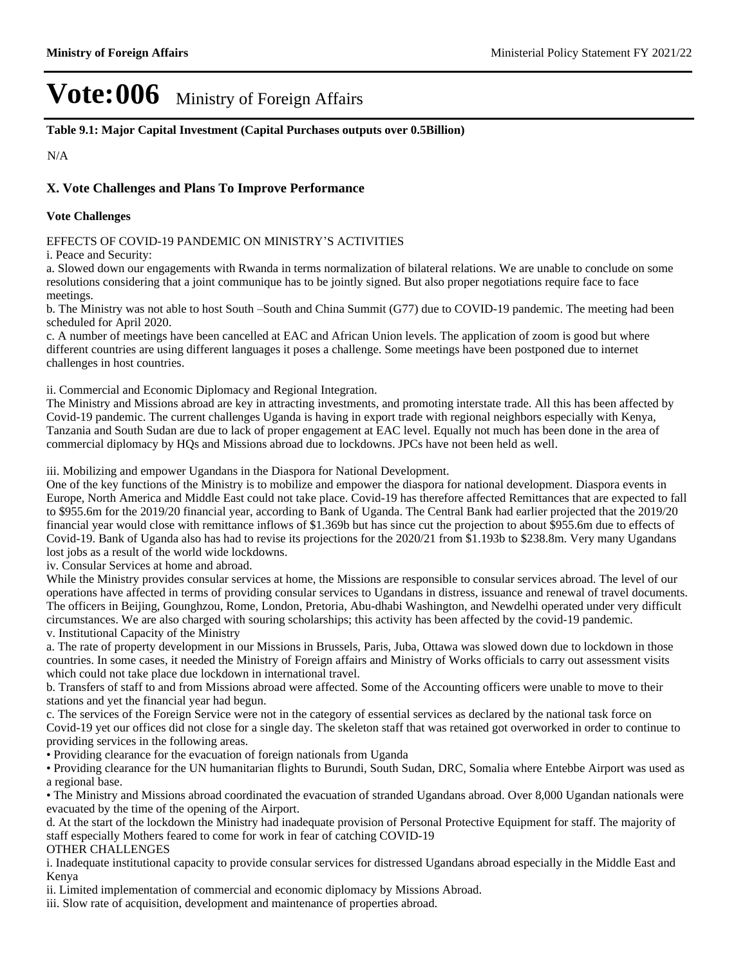**Table 9.1: Major Capital Investment (Capital Purchases outputs over 0.5Billion)**

N/A

### **X. Vote Challenges and Plans To Improve Performance**

#### **Vote Challenges**

EFFECTS OF COVID-19 PANDEMIC ON MINISTRY'S ACTIVITIES

i. Peace and Security:

a. Slowed down our engagements with Rwanda in terms normalization of bilateral relations. We are unable to conclude on some resolutions considering that a joint communique has to be jointly signed. But also proper negotiations require face to face meetings.

b. The Ministry was not able to host South -South and China Summit (G77) due to COVID-19 pandemic. The meeting had been scheduled for April 2020.

c. A number of meetings have been cancelled at EAC and African Union levels. The application of zoom is good but where different countries are using different languages it poses a challenge. Some meetings have been postponed due to internet challenges in host countries.

ii. Commercial and Economic Diplomacy and Regional Integration.

The Ministry and Missions abroad are key in attracting investments, and promoting interstate trade. All this has been affected by Covid-19 pandemic. The current challenges Uganda is having in export trade with regional neighbors especially with Kenya, Tanzania and South Sudan are due to lack of proper engagement at EAC level. Equally not much has been done in the area of commercial diplomacy by HQs and Missions abroad due to lockdowns. JPCs have not been held as well.

iii. Mobilizing and empower Ugandans in the Diaspora for National Development.

One of the key functions of the Ministry is to mobilize and empower the diaspora for national development. Diaspora events in Europe, North America and Middle East could not take place. Covid-19 has therefore affected Remittances that are expected to fall to \$955.6m for the 2019/20 financial year, according to Bank of Uganda. The Central Bank had earlier projected that the 2019/20 financial year would close with remittance inflows of \$1.369b but has since cut the projection to about \$955.6m due to effects of Covid-19. Bank of Uganda also has had to revise its projections for the 2020/21 from \$1.193b to \$238.8m. Very many Ugandans lost jobs as a result of the world wide lockdowns.

iv. Consular Services at home and abroad.

While the Ministry provides consular services at home, the Missions are responsible to consular services abroad. The level of our operations have affected in terms of providing consular services to Ugandans in distress, issuance and renewal of travel documents. The officers in Beijing, Gounghzou, Rome, London, Pretoria, Abu-dhabi Washington, and Newdelhi operated under very difficult circumstances. We are also charged with souring scholarships; this activity has been affected by the covid-19 pandemic. v. Institutional Capacity of the Ministry

a. The rate of property development in our Missions in Brussels, Paris, Juba, Ottawa was slowed down due to lockdown in those countries. In some cases, it needed the Ministry of Foreign affairs and Ministry of Works officials to carry out assessment visits which could not take place due lockdown in international travel.

b. Transfers of staff to and from Missions abroad were affected. Some of the Accounting officers were unable to move to their stations and yet the financial year had begun.

c. The services of the Foreign Service were not in the category of essential services as declared by the national task force on Covid-19 yet our offices did not close for a single day. The skeleton staff that was retained got overworked in order to continue to providing services in the following areas.

Providing clearance for the evacuation of foreign nationals from Uganda

Providing clearance for the UN humanitarian flights to Burundi, South Sudan, DRC, Somalia where Entebbe Airport was used as a regional base.

The Ministry and Missions abroad coordinated the evacuation of stranded Ugandans abroad. Over 8,000 Ugandan nationals were evacuated by the time of the opening of the Airport.

d. At the start of the lockdown the Ministry had inadequate provision of Personal Protective Equipment for staff. The majority of staff especially Mothers feared to come for work in fear of catching COVID-19

#### OTHER CHALLENGES

i. Inadequate institutional capacity to provide consular services for distressed Ugandans abroad especially in the Middle East and Kenya

ii. Limited implementation of commercial and economic diplomacy by Missions Abroad.

iii. Slow rate of acquisition, development and maintenance of properties abroad.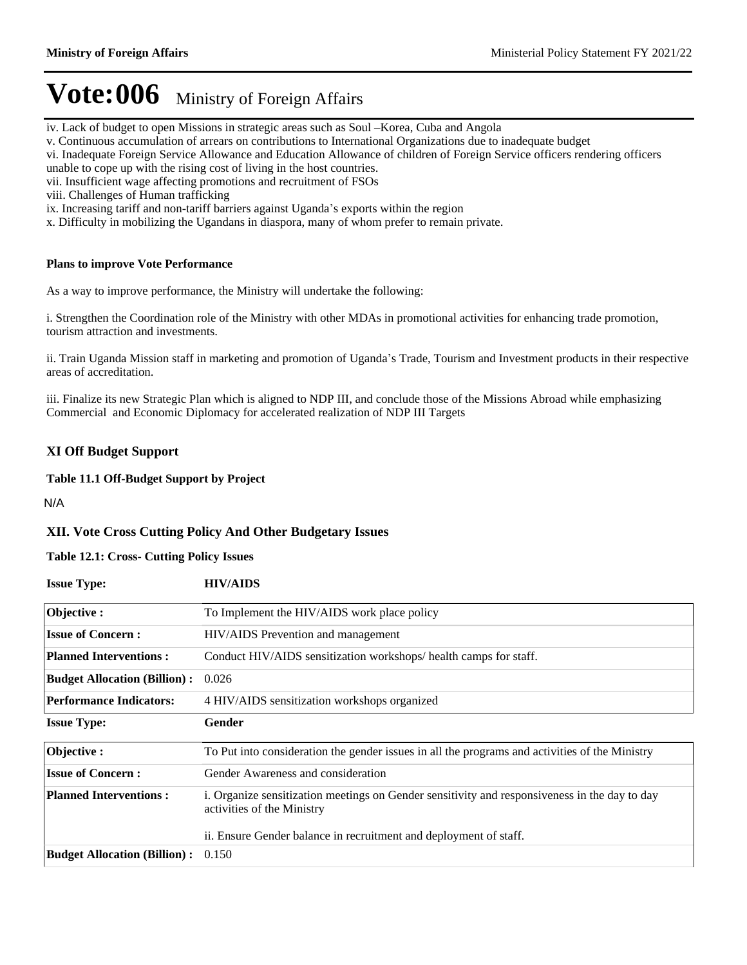- iv. Lack of budget to open Missions in strategic areas such as Soul -Korea, Cuba and Angola
- v. Continuous accumulation of arrears on contributions to International Organizations due to inadequate budget
- vi. Inadequate Foreign Service Allowance and Education Allowance of children of Foreign Service officers rendering officers
- unable to cope up with the rising cost of living in the host countries.
- vii. Insufficient wage affecting promotions and recruitment of FSOs
- viii. Challenges of Human trafficking
- ix. Increasing tariff and non-tariff barriers against Uganda's exports within the region
- x. Difficulty in mobilizing the Ugandans in diaspora, many of whom prefer to remain private.

### **Plans to improve Vote Performance**

As a way to improve performance, the Ministry will undertake the following:

i. Strengthen the Coordination role of the Ministry with other MDAs in promotional activities for enhancing trade promotion, tourism attraction and investments.

ii. Train Uganda Mission staff in marketing and promotion of Uganda's Trade, Tourism and Investment products in their respective areas of accreditation.

iii. Finalize its new Strategic Plan which is aligned to NDP III, and conclude those of the Missions Abroad while emphasizing Commercial and Economic Diplomacy for accelerated realization of NDP III Targets

### **XI Off Budget Support**

### **Table 11.1 Off-Budget Support by Project**

N/A

### **XII. Vote Cross Cutting Policy And Other Budgetary Issues**

### **Table 12.1: Cross- Cutting Policy Issues**

| <b>Issue Type:</b>                  | <b>HIV/AIDS</b>                                                                                                             |
|-------------------------------------|-----------------------------------------------------------------------------------------------------------------------------|
| Objective:                          | To Implement the HIV/AIDS work place policy                                                                                 |
| <b>Issue of Concern:</b>            | HIV/AIDS Prevention and management                                                                                          |
| <b>Planned Interventions:</b>       | Conduct HIV/AIDS sensitization workshops/health camps for staff.                                                            |
| <b>Budget Allocation (Billion):</b> | 0.026                                                                                                                       |
| <b>Performance Indicators:</b>      | 4 HIV/AIDS sensitization workshops organized                                                                                |
| <b>Issue Type:</b>                  | Gender                                                                                                                      |
| Objective:                          | To Put into consideration the gender issues in all the programs and activities of the Ministry                              |
| <b>Issue of Concern:</b>            | Gender Awareness and consideration                                                                                          |
| <b>Planned Interventions:</b>       | i. Organize sensitization meetings on Gender sensitivity and responsiveness in the day to day<br>activities of the Ministry |
|                                     | ii. Ensure Gender balance in recruitment and deployment of staff.                                                           |
| <b>Budget Allocation (Billion):</b> | 0.150                                                                                                                       |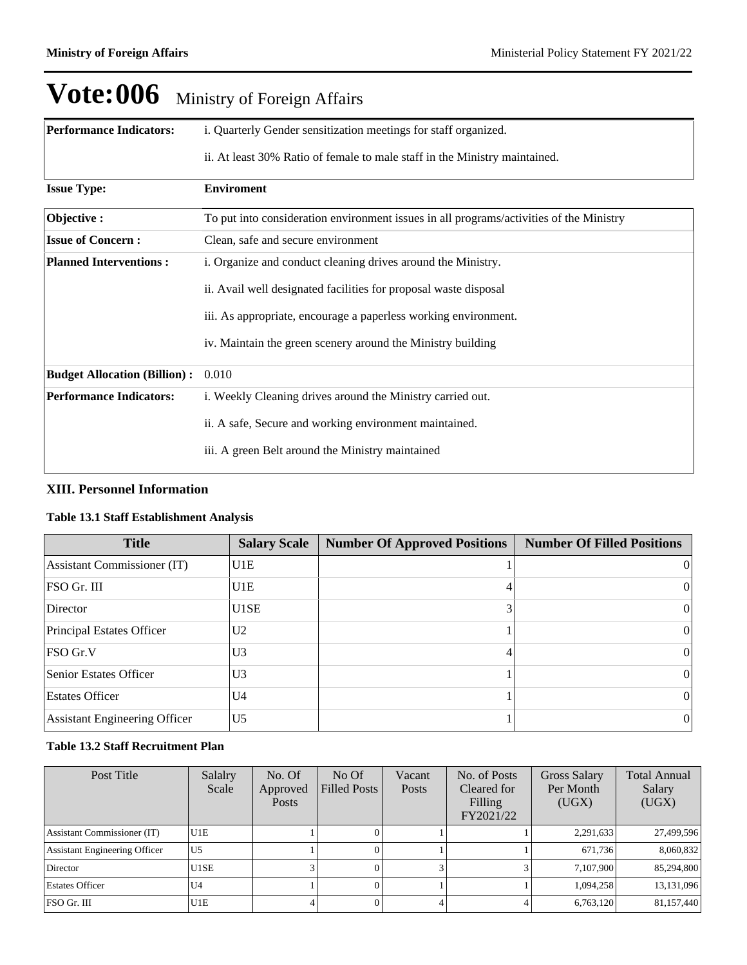| <b>Performance Indicators:</b>      | i. Quarterly Gender sensitization meetings for staff organized.                         |
|-------------------------------------|-----------------------------------------------------------------------------------------|
|                                     | ii. At least 30% Ratio of female to male staff in the Ministry maintained.              |
| <b>Issue Type:</b>                  | <b>Enviroment</b>                                                                       |
| Objective:                          | To put into consideration environment issues in all programs/activities of the Ministry |
| <b>Issue of Concern:</b>            | Clean, safe and secure environment                                                      |
| <b>Planned Interventions:</b>       | i. Organize and conduct cleaning drives around the Ministry.                            |
|                                     | ii. Avail well designated facilities for proposal waste disposal                        |
|                                     | iii. As appropriate, encourage a paperless working environment.                         |
|                                     | iv. Maintain the green scenery around the Ministry building                             |
| <b>Budget Allocation (Billion):</b> | 0.010                                                                                   |
| <b>Performance Indicators:</b>      | i. Weekly Cleaning drives around the Ministry carried out.                              |
|                                     | ii. A safe, Secure and working environment maintained.                                  |
|                                     | iii. A green Belt around the Ministry maintained                                        |

### **XIII. Personnel Information**

### **Table 13.1 Staff Establishment Analysis**

| <b>Title</b>                         | <b>Salary Scale</b> | <b>Number Of Approved Positions</b> | <b>Number Of Filled Positions</b> |
|--------------------------------------|---------------------|-------------------------------------|-----------------------------------|
| <b>Assistant Commissioner (IT)</b>   | U1E                 |                                     | $\theta$                          |
| FSO Gr. III                          | IU1E.               |                                     | $\theta$                          |
| Director                             | U1SE                |                                     | 0                                 |
| Principal Estates Officer            | U <sub>2</sub>      |                                     | $\Omega$                          |
| $FSO$ Gr.V                           | U <sub>3</sub>      |                                     | $\vert$ 0                         |
| <b>Senior Estates Officer</b>        | U <sub>3</sub>      |                                     | $\theta$                          |
| <b>Estates Officer</b>               | U <sub>4</sub>      |                                     | $\theta$                          |
| <b>Assistant Engineering Officer</b> | lU5                 |                                     | 0                                 |

### **Table 13.2 Staff Recruitment Plan**

| Post Title                           | Salalry<br>Scale | No. Of<br>Approved<br><b>Posts</b> | NoOf<br>Filled Posts | Vacant<br>Posts | No. of Posts<br>Cleared for<br>Filling<br>FY2021/22 | <b>Gross Salary</b><br>Per Month<br>(UGX) | <b>Total Annual</b><br>Salary<br>(UGX) |
|--------------------------------------|------------------|------------------------------------|----------------------|-----------------|-----------------------------------------------------|-------------------------------------------|----------------------------------------|
| <b>Assistant Commissioner (IT)</b>   | U1E              |                                    |                      |                 |                                                     | 2,291,633                                 | 27,499,596                             |
| <b>Assistant Engineering Officer</b> | U <sub>5</sub>   |                                    |                      |                 |                                                     | 671.736                                   | 8,060,832                              |
| Director                             | U1SE             |                                    |                      |                 |                                                     | 7.107.900                                 | 85,294,800                             |
| <b>Estates Officer</b>               | U <sub>4</sub>   |                                    |                      |                 |                                                     | 1,094,258                                 | 13,131,096                             |
| FSO Gr. III                          | U1E              |                                    |                      |                 |                                                     | 6,763,120                                 | 81,157,440                             |